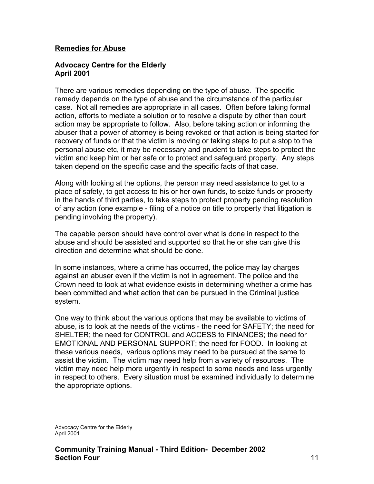### **Remedies for Abuse**

#### **Advocacy Centre for the Elderly April 2001**

There are various remedies depending on the type of abuse. The specific remedy depends on the type of abuse and the circumstance of the particular case. Not all remedies are appropriate in all cases. Often before taking formal action, efforts to mediate a solution or to resolve a dispute by other than court action may be appropriate to follow. Also, before taking action or informing the abuser that a power of attorney is being revoked or that action is being started for recovery of funds or that the victim is moving or taking steps to put a stop to the personal abuse etc, it may be necessary and prudent to take steps to protect the victim and keep him or her safe or to protect and safeguard property. Any steps taken depend on the specific case and the specific facts of that case.

Along with looking at the options, the person may need assistance to get to a place of safety, to get access to his or her own funds, to seize funds or property in the hands of third parties, to take steps to protect property pending resolution of any action (one example - filing of a notice on title to property that litigation is pending involving the property).

The capable person should have control over what is done in respect to the abuse and should be assisted and supported so that he or she can give this direction and determine what should be done.

In some instances, where a crime has occurred, the police may lay charges against an abuser even if the victim is not in agreement. The police and the Crown need to look at what evidence exists in determining whether a crime has been committed and what action that can be pursued in the Criminal justice system.

One way to think about the various options that may be available to victims of abuse, is to look at the needs of the victims - the need for SAFETY; the need for SHELTER; the need for CONTROL and ACCESS to FINANCES; the need for EMOTIONAL AND PERSONAL SUPPORT; the need for FOOD. In looking at these various needs, various options may need to be pursued at the same to assist the victim. The victim may need help from a variety of resources. The victim may need help more urgently in respect to some needs and less urgently in respect to others. Every situation must be examined individually to determine the appropriate options.

Advocacy Centre for the Elderly April 2001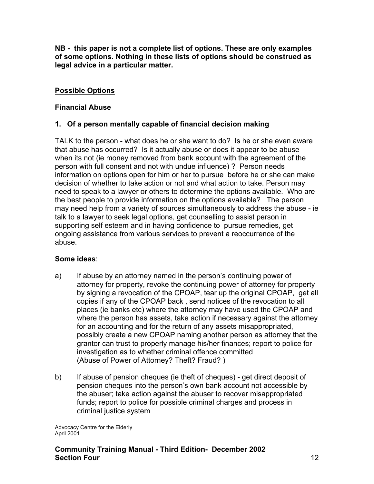**NB - this paper is not a complete list of options. These are only examples of some options. Nothing in these lists of options should be construed as legal advice in a particular matter.** 

# **Possible Options**

# **Financial Abuse**

# **1. Of a person mentally capable of financial decision making**

TALK to the person - what does he or she want to do? Is he or she even aware that abuse has occurred? Is it actually abuse or does it appear to be abuse when its not (ie money removed from bank account with the agreement of the person with full consent and not with undue influence) ? Person needs information on options open for him or her to pursue before he or she can make decision of whether to take action or not and what action to take. Person may need to speak to a lawyer or others to determine the options available. Who are the best people to provide information on the options available? The person may need help from a variety of sources simultaneously to address the abuse - ie talk to a lawyer to seek legal options, get counselling to assist person in supporting self esteem and in having confidence to pursue remedies, get ongoing assistance from various services to prevent a reoccurrence of the abuse.

### **Some ideas**:

- a) If abuse by an attorney named in the person's continuing power of attorney for property, revoke the continuing power of attorney for property by signing a revocation of the CPOAP, tear up the original CPOAP, get all copies if any of the CPOAP back , send notices of the revocation to all places (ie banks etc) where the attorney may have used the CPOAP and where the person has assets, take action if necessary against the attorney for an accounting and for the return of any assets misappropriated, possibly create a new CPOAP naming another person as attorney that the grantor can trust to properly manage his/her finances; report to police for investigation as to whether criminal offence committed (Abuse of Power of Attorney? Theft? Fraud? )
- b) If abuse of pension cheques (ie theft of cheques) get direct deposit of pension cheques into the person's own bank account not accessible by the abuser; take action against the abuser to recover misappropriated funds; report to police for possible criminal charges and process in criminal justice system

Advocacy Centre for the Elderly April 2001

# **Community Training Manual - Third Edition- December 2002 Section Four** 12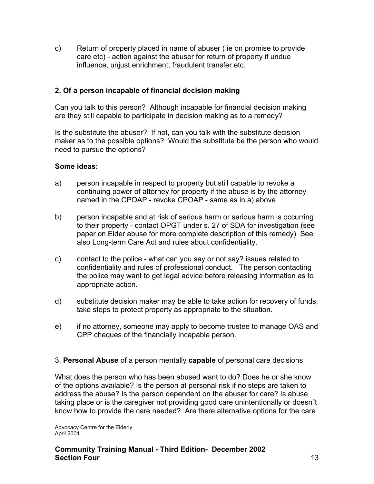c) Return of property placed in name of abuser ( ie on promise to provide care etc) - action against the abuser for return of property if undue influence, unjust enrichment, fraudulent transfer etc.

# **2. Of a person incapable of financial decision making**

Can you talk to this person? Although incapable for financial decision making are they still capable to participate in decision making as to a remedy?

Is the substitute the abuser? If not, can you talk with the substitute decision maker as to the possible options? Would the substitute be the person who would need to pursue the options?

#### **Some ideas:**

- a) person incapable in respect to property but still capable to revoke a continuing power of attorney for property if the abuse is by the attorney named in the CPOAP - revoke CPOAP - same as in a) above
- b) person incapable and at risk of serious harm or serious harm is occurring to their property - contact OPGT under s. 27 of SDA for investigation (see paper on Elder abuse for more complete description of this remedy) See also Long-term Care Act and rules about confidentiality.
- c) contact to the police what can you say or not say? issues related to confidentiality and rules of professional conduct. The person contacting the police may want to get legal advice before releasing information as to appropriate action.
- d) substitute decision maker may be able to take action for recovery of funds, take steps to protect property as appropriate to the situation.
- e) if no attorney, someone may apply to become trustee to manage OAS and CPP cheques of the financially incapable person.

### 3. **Personal Abuse** of a person mentally **capable** of personal care decisions

What does the person who has been abused want to do? Does he or she know of the options available? Is the person at personal risk if no steps are taken to address the abuse? Is the person dependent on the abuser for care? Is abuse taking place or is the caregiver not providing good care unintentionally or doesn"t know how to provide the care needed? Are there alternative options for the care

Advocacy Centre for the Elderly April 2001

### **Community Training Manual - Third Edition- December 2002 Section Four** 13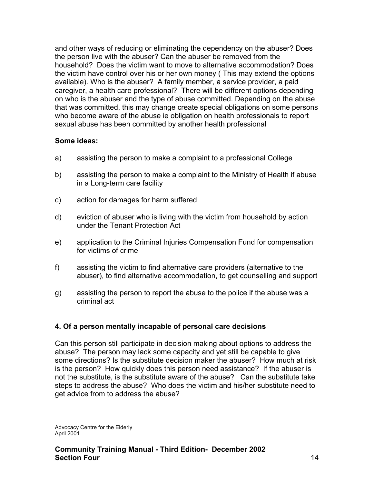and other ways of reducing or eliminating the dependency on the abuser? Does the person live with the abuser? Can the abuser be removed from the household? Does the victim want to move to alternative accommodation? Does the victim have control over his or her own money ( This may extend the options available). Who is the abuser? A family member, a service provider, a paid caregiver, a health care professional? There will be different options depending on who is the abuser and the type of abuse committed. Depending on the abuse that was committed, this may change create special obligations on some persons who become aware of the abuse ie obligation on health professionals to report sexual abuse has been committed by another health professional

# **Some ideas:**

- a) assisting the person to make a complaint to a professional College
- b) assisting the person to make a complaint to the Ministry of Health if abuse in a Long-term care facility
- c) action for damages for harm suffered
- d) eviction of abuser who is living with the victim from household by action under the Tenant Protection Act
- e) application to the Criminal Injuries Compensation Fund for compensation for victims of crime
- f) assisting the victim to find alternative care providers (alternative to the abuser), to find alternative accommodation, to get counselling and support
- g) assisting the person to report the abuse to the police if the abuse was a criminal act

# **4. Of a person mentally incapable of personal care decisions**

Can this person still participate in decision making about options to address the abuse? The person may lack some capacity and yet still be capable to give some directions? Is the substitute decision maker the abuser? How much at risk is the person? How quickly does this person need assistance? If the abuser is not the substitute, is the substitute aware of the abuse? Can the substitute take steps to address the abuse? Who does the victim and his/her substitute need to get advice from to address the abuse?

Advocacy Centre for the Elderly April 2001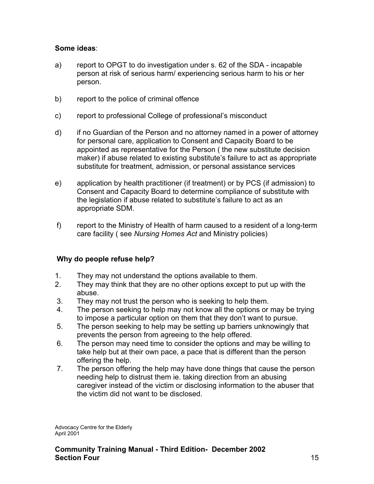# **Some ideas**:

- a) report to OPGT to do investigation under s. 62 of the SDA incapable person at risk of serious harm/ experiencing serious harm to his or her person.
- b) report to the police of criminal offence
- c) report to professional College of professional's misconduct
- d) if no Guardian of the Person and no attorney named in a power of attorney for personal care, application to Consent and Capacity Board to be appointed as representative for the Person ( the new substitute decision maker) if abuse related to existing substitute's failure to act as appropriate substitute for treatment, admission, or personal assistance services
- e) application by health practitioner (if treatment) or by PCS (if admission) to Consent and Capacity Board to determine compliance of substitute with the legislation if abuse related to substitute's failure to act as an appropriate SDM.
- f) report to the Ministry of Health of harm caused to a resident of a long-term care facility ( see *Nursing Homes Act* and Ministry policies)

# **Why do people refuse help?**

- 1. They may not understand the options available to them.
- 2. They may think that they are no other options except to put up with the abuse.
- 3. They may not trust the person who is seeking to help them.
- 4. The person seeking to help may not know all the options or may be trying to impose a particular option on them that they don't want to pursue.
- 5. The person seeking to help may be setting up barriers unknowingly that prevents the person from agreeing to the help offered.
- 6. The person may need time to consider the options and may be willing to take help but at their own pace, a pace that is different than the person offering the help.
- 7. The person offering the help may have done things that cause the person needing help to distrust them ie. taking direction from an abusing caregiver instead of the victim or disclosing information to the abuser that the victim did not want to be disclosed.

Advocacy Centre for the Elderly April 2001